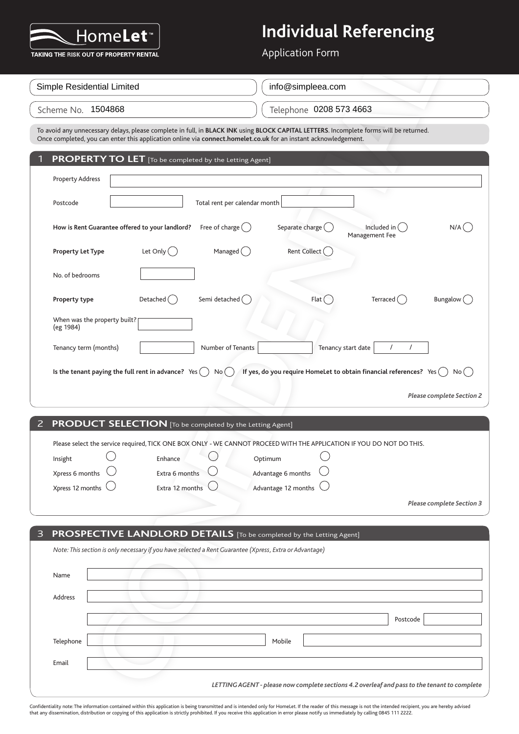

Application Form

| Simple Residential Limited | info@simpleea.com       |
|----------------------------|-------------------------|
| Scheme No. <b>1504868</b>  | Telephone 0208 573 4663 |

| TAKING THE RISK OUT OF PROPERTY RENTAL                                                                                                                                                                                                                    |                                         | <b>Application Form</b>                                                                      |                                 |                                  |
|-----------------------------------------------------------------------------------------------------------------------------------------------------------------------------------------------------------------------------------------------------------|-----------------------------------------|----------------------------------------------------------------------------------------------|---------------------------------|----------------------------------|
| Simple Residential Limited                                                                                                                                                                                                                                |                                         | info@simpleea.com                                                                            |                                 |                                  |
| Scheme No. 1504868                                                                                                                                                                                                                                        |                                         | Telephone 0208 573 4663                                                                      |                                 |                                  |
| To avoid any unnecessary delays, please complete in full, in BLACK INK using BLOCK CAPITAL LETTERS. Incomplete forms will be returned.<br>Once completed, you can enter this application online via connect.homelet.co.uk for an instant acknowledgement. |                                         |                                                                                              |                                 |                                  |
| <b>PROPERTY TO LET</b> [To be completed by the Letting Agent]<br>1                                                                                                                                                                                        |                                         |                                                                                              |                                 |                                  |
| <b>Property Address</b>                                                                                                                                                                                                                                   |                                         |                                                                                              |                                 |                                  |
| Postcode                                                                                                                                                                                                                                                  | Total rent per calendar month           |                                                                                              |                                 |                                  |
| How is Rent Guarantee offered to your landlord?                                                                                                                                                                                                           | Free of charge $( )$                    | Separate charge (                                                                            | Included in (<br>Management Fee | $N/A$ (                          |
| Let Only $( )$<br><b>Property Let Type</b>                                                                                                                                                                                                                | Managed $\begin{pmatrix} \end{pmatrix}$ | Rent Collect (                                                                               |                                 |                                  |
| No. of bedrooms                                                                                                                                                                                                                                           |                                         |                                                                                              |                                 |                                  |
| Detached $($ )<br>Property type                                                                                                                                                                                                                           | Semi detached (                         | Flat <sup>(</sup>                                                                            | Terraced $($ )                  | Bungalow (                       |
| When was the property built?<br>(eg 1984)                                                                                                                                                                                                                 |                                         |                                                                                              |                                 |                                  |
| Tenancy term (months)                                                                                                                                                                                                                                     | Number of Tenants                       | Tenancy start date                                                                           |                                 |                                  |
| Is the tenant paying the full rent in advance? Yes                                                                                                                                                                                                        | No (                                    | If yes, do you require HomeLet to obtain financial references? Yes $( )$                     |                                 | No( )                            |
|                                                                                                                                                                                                                                                           |                                         |                                                                                              |                                 | <b>Please complete Section 2</b> |
|                                                                                                                                                                                                                                                           |                                         |                                                                                              |                                 |                                  |
| PRODUCT SELECTION [To be completed by the Letting Agent]<br>2                                                                                                                                                                                             |                                         |                                                                                              |                                 |                                  |
| Please select the service required, TICK ONE BOX ONLY - WE CANNOT PROCEED WITH THE APPLICATION IF YOU DO NOT DO THIS.                                                                                                                                     |                                         |                                                                                              |                                 |                                  |
| Insight                                                                                                                                                                                                                                                   | Enhance                                 | Optimum                                                                                      |                                 |                                  |
| Xpress 6 months                                                                                                                                                                                                                                           | Extra 6 months                          | Advantage 6 months                                                                           |                                 |                                  |
| Xpress 12 months                                                                                                                                                                                                                                          | Extra 12 months                         | Advantage 12 months                                                                          |                                 |                                  |
|                                                                                                                                                                                                                                                           |                                         |                                                                                              |                                 | <b>Please complete Section 3</b> |
| PROSPECTIVE LANDLORD DETAILS [To be completed by the Letting Agent]<br>3                                                                                                                                                                                  |                                         |                                                                                              |                                 |                                  |
| Note: This section is only necessary if you have selected a Rent Guarantee (Xpress, Extra or Advantage)                                                                                                                                                   |                                         |                                                                                              |                                 |                                  |
|                                                                                                                                                                                                                                                           |                                         |                                                                                              |                                 |                                  |
| Name                                                                                                                                                                                                                                                      |                                         |                                                                                              |                                 |                                  |
| Address                                                                                                                                                                                                                                                   |                                         |                                                                                              |                                 |                                  |
|                                                                                                                                                                                                                                                           |                                         |                                                                                              |                                 |                                  |
|                                                                                                                                                                                                                                                           |                                         |                                                                                              | Postcode                        |                                  |
| Telephone                                                                                                                                                                                                                                                 |                                         | Mobile                                                                                       |                                 |                                  |
| Email                                                                                                                                                                                                                                                     |                                         |                                                                                              |                                 |                                  |
|                                                                                                                                                                                                                                                           |                                         | LETTING AGENT - please now complete sections 4.2 overleaf and pass to the tenant to complete |                                 |                                  |
|                                                                                                                                                                                                                                                           |                                         |                                                                                              |                                 |                                  |

| 2 PRODUCT SELECTION [To be completed by the Letting Agent] |  |
|------------------------------------------------------------|--|
|------------------------------------------------------------|--|

|                            |                 | Please select the service required, TICK ONE BOX ONLY - WE CANNOT PROCEED WITH THE APPLICATION IF YOU DO NOT DO THIS. |                                  |
|----------------------------|-----------------|-----------------------------------------------------------------------------------------------------------------------|----------------------------------|
| Insight                    | Enhance         | Optimum                                                                                                               |                                  |
| Xpress 6 months $\cup$     | Extra 6 months  | Advantage 6 months $\bigcirc$                                                                                         |                                  |
| Xpress 12 months $\bigcup$ | Extra 12 months | Advantage 12 months $\bigcup$                                                                                         |                                  |
|                            |                 |                                                                                                                       | <b>Please complete Section 3</b> |

| 3 PROSPECTIVE LANDLORD DETAILS [To be completed by the Letting Agent]                                   |
|---------------------------------------------------------------------------------------------------------|
| Note: This section is only necessary if you have selected a Rent Guarantee (Xpress, Extra or Advantage) |
| Name                                                                                                    |
| Address                                                                                                 |
| Postcode                                                                                                |
| Mobile<br>Telephone                                                                                     |
| Email                                                                                                   |
| LETTING AGENT - please now complete sections 4.2 overleaf and pass to the tenant to complete            |

Confidentiality note: The information contained within this application is being transmitted and is intended only for HomeLet. If the reader of this message is not the intended recipient, you are hereby advised<br>that any di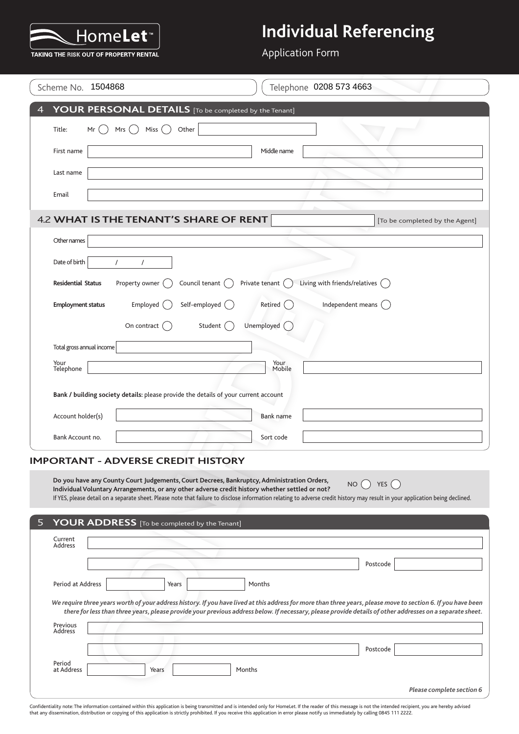

Application Form

|                    |                           | TAKING THE RISK OUT OF PROPERTY RENTAL              |                                                                                                                                                                                              |                  | <b>Application Form</b>                                                                                                                                                                                                                                                                                                    |
|--------------------|---------------------------|-----------------------------------------------------|----------------------------------------------------------------------------------------------------------------------------------------------------------------------------------------------|------------------|----------------------------------------------------------------------------------------------------------------------------------------------------------------------------------------------------------------------------------------------------------------------------------------------------------------------------|
|                    | Scheme No. 1504868        |                                                     |                                                                                                                                                                                              |                  | Telephone 0208 573 4663                                                                                                                                                                                                                                                                                                    |
|                    |                           |                                                     | YOUR PERSONAL DETAILS [To be completed by the Tenant]                                                                                                                                        |                  |                                                                                                                                                                                                                                                                                                                            |
| Title:             | Mr                        | Mrs $($ )<br>Miss                                   | Other                                                                                                                                                                                        |                  |                                                                                                                                                                                                                                                                                                                            |
|                    | First name                |                                                     |                                                                                                                                                                                              | Middle name      |                                                                                                                                                                                                                                                                                                                            |
|                    | Last name                 |                                                     |                                                                                                                                                                                              |                  |                                                                                                                                                                                                                                                                                                                            |
| Email              |                           |                                                     |                                                                                                                                                                                              |                  |                                                                                                                                                                                                                                                                                                                            |
|                    |                           |                                                     | 4.2 WHAT IS THE TENANT'S SHARE OF RENT                                                                                                                                                       |                  | [To be completed by the Agent]                                                                                                                                                                                                                                                                                             |
|                    | Other names               |                                                     |                                                                                                                                                                                              |                  |                                                                                                                                                                                                                                                                                                                            |
|                    | Date of birth             | $\prime$<br>$\prime$                                |                                                                                                                                                                                              |                  |                                                                                                                                                                                                                                                                                                                            |
|                    | <b>Residential Status</b> | Property owner (                                    | Council tenant $\bigcap$                                                                                                                                                                     | Private tenant ( | Living with friends/relatives $\bigcap$                                                                                                                                                                                                                                                                                    |
|                    | <b>Employment status</b>  | Employed $($                                        | Self-employed (                                                                                                                                                                              | Retired          | Independent means $\bigcap$                                                                                                                                                                                                                                                                                                |
|                    |                           | On contract $(\ )$                                  | Student ()                                                                                                                                                                                   | Unemployed       |                                                                                                                                                                                                                                                                                                                            |
|                    | Total gross annual income |                                                     |                                                                                                                                                                                              |                  |                                                                                                                                                                                                                                                                                                                            |
|                    | Your<br>Telephone         |                                                     |                                                                                                                                                                                              | Your<br>Mobile   |                                                                                                                                                                                                                                                                                                                            |
|                    |                           |                                                     | Bank / building society details: please provide the details of your current account                                                                                                          |                  |                                                                                                                                                                                                                                                                                                                            |
|                    | Account holder(s)         |                                                     |                                                                                                                                                                                              | Bank name        |                                                                                                                                                                                                                                                                                                                            |
|                    | Bank Account no.          |                                                     |                                                                                                                                                                                              | Sort code        |                                                                                                                                                                                                                                                                                                                            |
|                    |                           | <b>IMPORTANT - ADVERSE CREDIT HISTORY</b>           |                                                                                                                                                                                              |                  |                                                                                                                                                                                                                                                                                                                            |
| 5                  |                           | <b>YOUR ADDRESS</b> [To be completed by the Tenant] | Do you have any County Court Judgements, Court Decrees, Bankruptcy, Administration Orders,<br>Individual Voluntary Arrangements, or any other adverse credit history whether settled or not? |                  | NO<br>YES $($<br>If YES, please detail on a separate sheet. Please note that failure to disclose information relating to adverse credit history may result in your application being declined.                                                                                                                             |
| Current<br>Address |                           |                                                     |                                                                                                                                                                                              |                  |                                                                                                                                                                                                                                                                                                                            |
|                    |                           |                                                     |                                                                                                                                                                                              |                  | Postcode                                                                                                                                                                                                                                                                                                                   |
|                    | Period at Address         | Years                                               |                                                                                                                                                                                              | Months           |                                                                                                                                                                                                                                                                                                                            |
|                    |                           |                                                     |                                                                                                                                                                                              |                  | We require three years worth of your address history. If you have lived at this address for more than three years, please move to section 6. If you have been<br>there for less than three years, please provide your previous address below. If necessary, please provide details of other addresses on a separate sheet. |
| <b>Address</b>     | Previous                  |                                                     |                                                                                                                                                                                              |                  |                                                                                                                                                                                                                                                                                                                            |
|                    |                           |                                                     |                                                                                                                                                                                              |                  | Postcode                                                                                                                                                                                                                                                                                                                   |
| Period             | at Address                | Years                                               | Months                                                                                                                                                                                       |                  |                                                                                                                                                                                                                                                                                                                            |
|                    |                           |                                                     |                                                                                                                                                                                              |                  |                                                                                                                                                                                                                                                                                                                            |

#### **IMPORTANT - ADVERSE CREDIT HISTORY**

| 5.                   | YOUR ADDRESS [To be completed by the Tenant] |        |                                                                                                                                                                                                                                                                                                                            |  |
|----------------------|----------------------------------------------|--------|----------------------------------------------------------------------------------------------------------------------------------------------------------------------------------------------------------------------------------------------------------------------------------------------------------------------------|--|
| Current<br>Address   |                                              |        |                                                                                                                                                                                                                                                                                                                            |  |
|                      |                                              |        | Postcode                                                                                                                                                                                                                                                                                                                   |  |
| Period at Address    | Years                                        | Months |                                                                                                                                                                                                                                                                                                                            |  |
| Previous<br>Address  |                                              |        | We require three years worth of your address history. If you have lived at this address for more than three years, please move to section 6. If you have been<br>there for less than three years, please provide your previous address below. If necessary, please provide details of other addresses on a separate sheet. |  |
|                      |                                              |        | Postcode                                                                                                                                                                                                                                                                                                                   |  |
| Period<br>at Address | Years                                        | Months |                                                                                                                                                                                                                                                                                                                            |  |
|                      |                                              |        | Please complete section 6                                                                                                                                                                                                                                                                                                  |  |

Confidentiality note: The information contained within this application is being transmitted and is intended only for HomeLet. If the reader of this message is not the intended recipient, you are hereby advised<br>that any di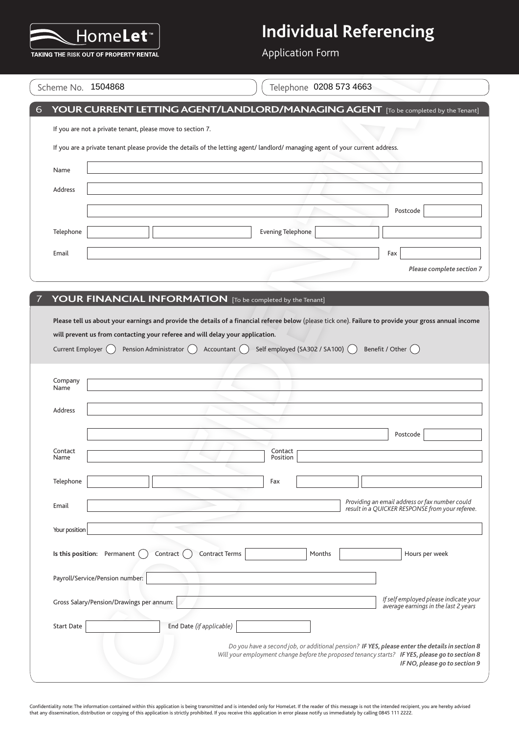

Application Form

|                    | TAKING THE RISK OUT OF PROPERTY RENTAL                                                                    |                          |                                                                                                                                                                                           |                                                                                                                                                                                                  |
|--------------------|-----------------------------------------------------------------------------------------------------------|--------------------------|-------------------------------------------------------------------------------------------------------------------------------------------------------------------------------------------|--------------------------------------------------------------------------------------------------------------------------------------------------------------------------------------------------|
|                    | Scheme No. 1504868                                                                                        |                          | Telephone 0208 573 4663                                                                                                                                                                   |                                                                                                                                                                                                  |
|                    |                                                                                                           |                          |                                                                                                                                                                                           | YOUR CURRENT LETTING AGENT/LANDLORD/MANAGING AGENT [To be completed by the Tenant]                                                                                                               |
|                    | If you are not a private tenant, please move to section 7.                                                |                          |                                                                                                                                                                                           |                                                                                                                                                                                                  |
|                    |                                                                                                           |                          | If you are a private tenant please provide the details of the letting agent/ landlord/ managing agent of your current address.                                                            |                                                                                                                                                                                                  |
| Name               |                                                                                                           |                          |                                                                                                                                                                                           |                                                                                                                                                                                                  |
| Address            |                                                                                                           |                          |                                                                                                                                                                                           |                                                                                                                                                                                                  |
|                    |                                                                                                           |                          |                                                                                                                                                                                           | Postcode                                                                                                                                                                                         |
| Telephone          |                                                                                                           |                          | <b>Evening Telephone</b>                                                                                                                                                                  |                                                                                                                                                                                                  |
| Email              |                                                                                                           |                          |                                                                                                                                                                                           | Fax                                                                                                                                                                                              |
|                    |                                                                                                           |                          |                                                                                                                                                                                           | Please complete section 7                                                                                                                                                                        |
|                    |                                                                                                           |                          | <b>YOUR FINANCIAL INFORMATION</b> [To be completed by the Tenant]                                                                                                                         |                                                                                                                                                                                                  |
| Current Employer ( | will prevent us from contacting your referee and will delay your application.<br>Pension Administrator () | Accountant $\bigcap$     | Please tell us about your earnings and provide the details of a financial referee below (please tick one). Failure to provide your gross annual income<br>Self employed (SA302 / SA100) ( | Benefit / Other ()                                                                                                                                                                               |
| Company<br>Name    |                                                                                                           |                          |                                                                                                                                                                                           |                                                                                                                                                                                                  |
| Address            |                                                                                                           |                          |                                                                                                                                                                                           |                                                                                                                                                                                                  |
|                    |                                                                                                           |                          |                                                                                                                                                                                           | Postcode                                                                                                                                                                                         |
| Contact<br>Name    |                                                                                                           |                          | Contact<br>Position                                                                                                                                                                       |                                                                                                                                                                                                  |
| Telephone          |                                                                                                           |                          | Fax                                                                                                                                                                                       |                                                                                                                                                                                                  |
| Email              |                                                                                                           |                          |                                                                                                                                                                                           | Providing an email address or fax number could                                                                                                                                                   |
|                    |                                                                                                           |                          |                                                                                                                                                                                           |                                                                                                                                                                                                  |
| Your position      |                                                                                                           |                          |                                                                                                                                                                                           |                                                                                                                                                                                                  |
|                    | Is this position: Permanent<br>Contract                                                                   | <b>Contract Terms</b>    | Months                                                                                                                                                                                    | Hours per week                                                                                                                                                                                   |
|                    | Payroll/Service/Pension number:                                                                           |                          |                                                                                                                                                                                           |                                                                                                                                                                                                  |
|                    | Gross Salary/Pension/Drawings per annum:                                                                  |                          |                                                                                                                                                                                           | result in a QUICKER RESPONSE from your referee.<br>If self employed please indicate your<br>average earnings in the last 2 years                                                                 |
| <b>Start Date</b>  |                                                                                                           | End Date (if applicable) |                                                                                                                                                                                           |                                                                                                                                                                                                  |
|                    |                                                                                                           |                          |                                                                                                                                                                                           | Do you have a second job, or additional pension? IF YES, please enter the details in section 8<br>Will your employment change before the proposed tenancy starts? IF YES, please go to section 8 |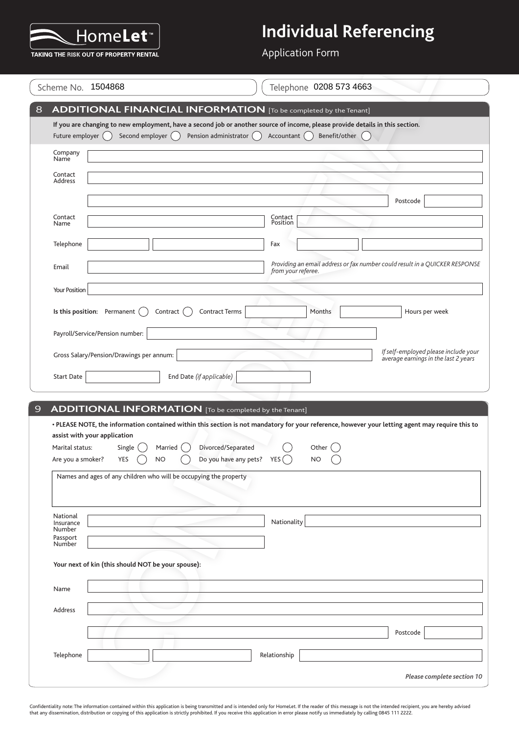

Application Form

|                                      | Scheme No. 1504868                                                                                                                     | Telephone 0208 573 4663                                                                                                                                                                     |
|--------------------------------------|----------------------------------------------------------------------------------------------------------------------------------------|---------------------------------------------------------------------------------------------------------------------------------------------------------------------------------------------|
|                                      |                                                                                                                                        | <b>ADDITIONAL FINANCIAL INFORMATION</b> [To be completed by the Tenant]                                                                                                                     |
| Future employer ()                   | Second employer ()                                                                                                                     | If you are changing to new employment, have a second job or another source of income, please provide details in this section.<br>Pension administrator ()<br>Accountant ()<br>Benefit/other |
| Company<br>Name                      |                                                                                                                                        |                                                                                                                                                                                             |
| Contact<br>Address                   |                                                                                                                                        |                                                                                                                                                                                             |
|                                      |                                                                                                                                        | Postcode                                                                                                                                                                                    |
| Contact<br>Name                      |                                                                                                                                        | Contact<br>Position                                                                                                                                                                         |
| Telephone                            |                                                                                                                                        | Fax                                                                                                                                                                                         |
| Email                                |                                                                                                                                        | Providing an email address or fax number could result in a QUICKER RESPONSE<br>from your referee.                                                                                           |
| Your Position                        |                                                                                                                                        |                                                                                                                                                                                             |
|                                      | Is this position: Permanent<br>Contract                                                                                                | <b>Contract Terms</b><br>Months<br>Hours per week                                                                                                                                           |
|                                      | Payroll/Service/Pension number:                                                                                                        |                                                                                                                                                                                             |
|                                      | Gross Salary/Pension/Drawings per annum:                                                                                               | If self-employed please include your<br>average earnings in the last 2 years                                                                                                                |
| <b>Start Date</b>                    |                                                                                                                                        |                                                                                                                                                                                             |
|                                      |                                                                                                                                        | End Date (if applicable)                                                                                                                                                                    |
|                                      |                                                                                                                                        |                                                                                                                                                                                             |
| Marital status:<br>Are you a smoker? | <b>ADDITIONAL INFORMATION</b> [To be completed by the Tenant]<br>assist with your application<br>Single<br>Married<br>YES<br><b>NO</b> | Divorced/Separated<br>Other<br>Do you have any pets?<br>YES (<br><b>NO</b>                                                                                                                  |
|                                      | Names and ages of any children who will be occupying the property                                                                      |                                                                                                                                                                                             |
| National<br>Insurance<br>Number      |                                                                                                                                        | Nationality                                                                                                                                                                                 |
| Passport<br>Number                   |                                                                                                                                        |                                                                                                                                                                                             |
|                                      | Your next of kin (this should NOT be your spouse):                                                                                     |                                                                                                                                                                                             |
| Name                                 |                                                                                                                                        |                                                                                                                                                                                             |
| Address                              |                                                                                                                                        |                                                                                                                                                                                             |
|                                      |                                                                                                                                        | Postcode                                                                                                                                                                                    |
| Telephone                            |                                                                                                                                        | • PLEASE NOTE, the information contained within this section is not mandatory for your reference, however your letting agent may require this to<br>Relationship                            |

Confidentiality note: The information contained within this application is being transmitted and is intended only for HomeLet. If the reader of this message is not the intended recipient, you are hereby advised<br>that any di